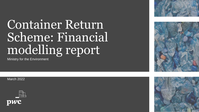# Container Return Scheme: Financial modelling report

Ministry for the Environment

March 2022







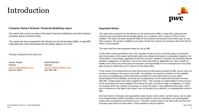### Introduction



### **Container Return Scheme: Financial Modelling report**

This report sets out an overview of the latest financial modelling for the New Zealand Container Return Scheme (CRS).

This report has been prepared for the Ministry for the Environment (MfE), to help MfE understand the costs associated with the design options of a CRS.

The key contacts for this work are:

James Harper Mark Robinson Partner Director 022 012 9874 021 665 786

[james.f.harper@pwc.com](mailto:craig.rice@pwc.com) mark[.d.robinson@pwc.com](mailto:.d.robinson@pwc.com)

#### **Important Notice**

This report been prepared for the Ministry for the Environment (MfE), to help MfE understand the scheme costs associated with the design options for a container return scheme (CRS) for New Zealand. The report has been prepared solely for this purpose and should not be relied upon for any other purpose. We accept no liability to any party should it be used for any purpose other than that for which it was prepared.

The report and has been prepared solely for use by MfE.

To the fullest extent permitted by law, PwC accepts no duty of care to any third party in connection with the provision of this report and Model and/or any related information or explanation (together, the "Information"). Accordingly, regardless of the form of action, whether in contract, tort (including without limitation, negligence) or otherwise, and to the extent permitted by applicable law, PwC accepts no liability of any kind to any third party and disclaims all responsibility for the consequences of any third party acting or refraining to act in reliance on the Information.

In the course of our assessment we have had access to information provided by MfE, but we have not carried out anything in the nature of an audit. Accordingly, we express no opinion on the reliability, accuracy or completeness of the information provided to us and upon which we have relied. Responsibility for the reliability, accuracy and completeness of such information therefore remains with MfE. Certain inputs have been supplied by PwC. PwC accepts no responsibility for the accuracy of the assumptions we have supplied. We reserve the right, but will be under no obligation, to review our analysis and if we consider it necessary, to revise the report, if any additional information, which was in existence on the date of this report, was not brought to our attention, or subsequently comes to light.

We have relied on forecasts and assumptions about future events which, by their nature, are not able to be independently verified. Inevitably, some assumptions may not materialise, and unanticipated events and circumstances are likely to occur. Therefore, actual results in the future will vary from the forecasts upon which we have relied. These variations may be material.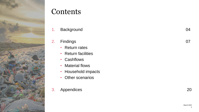![](_page_2_Picture_0.jpeg)

### **Contents**

1. Background 04

### 2. Findings 07

- Return rates
- Return facilities
- Cashflows
- Material flows
- Household impacts
- Other scenarios
- 3. Appendices 20

3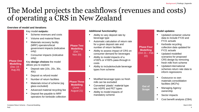### The Model projects the cashflows (revenues and costs) of operating a CRS in New Zealand

### **Overview of model and iterations**

Key model **outputs:**

- Scheme revenues and costs
- Volume and material flows
- Materials recovery facility (MRF) operators/local government impacts (indicative only)
- Consumer impacts (indicative only)

Key **design choices** the model allows you to explore:

- Deposit rate (10c, 20c, 30c, 40c)
- Deposit vs refund model
- Number of return facilities
- Materials in/out of scheme (eg glass excluded)
- Advanced material recycling fee
- Deposit fee payable to MRF operators for kerbside collection

### **Additional functionality:**

- Ability to vary deposit rate by beverage type
- Automatic calculation of return rate for a given deposit rate and number of return facilities
- Ability to assess impact of CRS on consumer demand for beverages
- Ability to model impacts of a ≥100% or ≤100% pass-through in costs
- Ability to include/exclude beverage types from scheme
- Modified beverage types so fresh milk can be excluded
- Converted 'plastic' material type into HDPE and PET types
- Ability to model impacts of mandatory scheme

### **Model updates:**

- Updated container volume data to include FY20 and FY21 actuals
- Kerbside recycling collection data updated for FY21 actuals
- Updated modelled scenarios for proposed CRS design by removing fresh milk from scheme
- Updated international schemes return rate data to inform regressions
- Outsource vs own materials consolidation facilities (MCFs)
- Managing Agency ownership
- Sector impacts

**Out of Scope** 

**Phase Four Modelling**   $(Oct 21 - Feb)$ 22)

• Cost benefit analysis (CBA)

**Phase One Modelling**  (Dec 19 – Aug 20)

**Phase Two Modelling**   $(Oct -$ Nov 20)

### **Modelling**  (June – August 21)

![](_page_3_Picture_40.jpeg)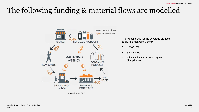## The following funding & material flows are modelled

![](_page_4_Figure_2.jpeg)

The Model allows for the beverage producer to pay the Managing Agency:

- Deposit fee
- Scheme fee
- Advanced material recycling fee (if applicable)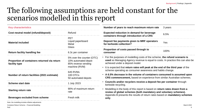### The following assumptions are held constant for the scenarios modelled in this report

| <b>Key characteristics</b>                                    |                                                                                          | Number of years to reach maximum return rate                                                                                                                                                                                                                                                 | 3 years |  |  |  |
|---------------------------------------------------------------|------------------------------------------------------------------------------------------|----------------------------------------------------------------------------------------------------------------------------------------------------------------------------------------------------------------------------------------------------------------------------------------------|---------|--|--|--|
| Cost neutral model (refund/deposit)                           | Refund                                                                                   | <b>Expected reduction in demand for beverage</b>                                                                                                                                                                                                                                             | 6.5%    |  |  |  |
| <b>Material included</b>                                      | <b>PET</b><br>Liquid paperboard<br>Metal<br>Glass                                        | containers through introduction of a CRS<br>Deposit fee payments given to MRF operators<br>for kerbside collection?                                                                                                                                                                          | Yes     |  |  |  |
| Return facility handling fee                                  | 6.3c per container                                                                       | Proportion of costs passed through to<br>consumer                                                                                                                                                                                                                                            | 100%    |  |  |  |
| Proportion of containers returned via return<br>facility type | 5% over the counter (OTC)<br>10% automated depot<br>85% reverse vending<br>machine (RVM) | • For the purposes of modelling costs of the scheme, the refund scenario is<br><b>used</b> so Managing Agency revenue is equal to costs. In practice this can also be<br>achieved under a deposit model.<br>. It is expected that return rates will peak at the end of the third year of the |         |  |  |  |
| Number of return facilities (2021 estimate)                   | 645 RVMs<br>100 OTCs<br>50 automated depots                                              | scheme operating as consumer awareness and habits change.<br>• A 6.5% decrease in the volume of containers consumed is assumed upon<br><b>CRS commencement, based on experience from similar Australian schemes.</b>                                                                         |         |  |  |  |
| <b>Scheme start date</b>                                      | 1 July 2023                                                                              | Councils and/or recyclers receive a deposit fee per container through<br>kerbside recycling.                                                                                                                                                                                                 |         |  |  |  |
| <b>Starting return rate</b>                                   | 90% of maximum return<br>rate                                                            | • Modelling in the body of this report is based on return rates drawn from a<br>review of global schemes (both mandatory and voluntary schemes).                                                                                                                                             |         |  |  |  |
| Beverages excluded from scheme                                | Fresh milk                                                                               | Appendix B presents the results of return rates based on <b>mandatory schemes</b><br>only.                                                                                                                                                                                                   |         |  |  |  |
| Note: the modelling includes inflation adjustments            |                                                                                          |                                                                                                                                                                                                                                                                                              |         |  |  |  |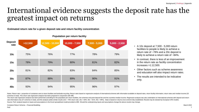### International evidence suggests the deposit rate has the greatest impact on returns

**Estimated return rate for a given deposit rate and return facility concentration**

| Deposit<br>rate | >12,500 | 12,500 - 10,000 | $10,000 - 7,500$ | $7,500 - 5,000$ | $5,000 - 2,500$ |
|-----------------|---------|-----------------|------------------|-----------------|-----------------|
| 10 <sub>c</sub> | 75%     | 76%             | 77%              | 78%             | 79%             |
| 15c             | 78%     | 79%             | 80%              | 81%             | 82%             |
| 20c             | 81%     | 82%             | 83%              | 84%             | 85%             |
| 30c             | 87%     | 88%             | 89%              | 90%             | 91%             |
| 40 <sub>c</sub> | 93%     | 94%             | 95%              | 96%             | 97%             |

**Population per return facility**

- A 10c deposit at 7,500 5,000 return facilities to people is likely to achieve a return rate of ~78% and a 20c deposit is likely to achieve a return rate of ~84%.
- In contrast, there is less of an improvement in the return rate as facility concentration increases >1:12,500.
- Other factors such as scheme awareness and education will also impact return rates.
- The results are intended to be indicative only.

Notes: Return rate = proportion of containers sent to return facilities and kerbside recycling. Return rates based on regression analysis of international schemes with information available on deposit rates, return facilit schemes in total). This return rate regression analysis has been prepared in conjunction with MfE.

The return rate regression analysis has been performed controlling for the population per return facilities, the schemes mid point deposit fee and the countries median income. Regression analysis was also undertaken on int rate information only (37 schemes in total), and this analysis yields similar results (10c = 76% return rate; 20c = 83%; 30c = 91%; 40c = 99%). Data is based on returns once scheme fully established. Results may be skewed Source: PwC analysis based on inputs and assumptions in the Excel spreadsheet model provided to MfE. Should the underpinning inputs and assumptions change the above results may change.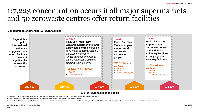### 1:7,223 concentration occurs if all major supermarkets and 50 zerowaste centres offer return facilities

#### **Concentration of potential NZ return facilities**

![](_page_7_Figure_3.jpeg)

#### **Ratio of return facilities to people**

\*Major New Zealand supermarkets include all Countdown, New World, Pak'nSave, Fresh Choice, Supervalue and Four Square stores

\*\*Zerowaste centres are a proxy for automated depot return facilities which are used for commercial returns

Source: Information provided by MfE, PwC analysis based on inputs and assumptions in the Excel spreadsheet model provided to MfE. Should the underpinning inputs and assumptions change the above results may change.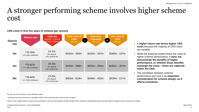### A stronger performing scheme involves higher scheme cost

| <b>Deposit</b><br>rate | <b>Return rate</b>                        | <b>CRS</b> fee<br>(deposit + scheme)<br>fee per container) | <b>Total cost of</b><br><b>CRS</b><br><b>COL</b><br>$(sm$ pa) | <b>Deposits</b><br>refunded<br>$$m\,pa$$ | <b>Net cost of</b><br><b>CRS</b><br>Ш<br>$$m\text{ pa}$$ |
|------------------------|-------------------------------------------|------------------------------------------------------------|---------------------------------------------------------------|------------------------------------------|----------------------------------------------------------|
| 10c                    | *70-78%<br>$~1.6 - 1.9$ bn containers     | $14-15c$<br>10c deposit;<br>4-5c scheme fee                | $$342m - 384m$                                                | $$162m - 187m$                           | $$180m - 197m$                                           |
| 15c                    | $*73 - 81%$<br>$~1.7 - 1.9$ bn containers | $18-20c$<br>15c deposit;<br>3-5c scheme fee                | $$445m - 498m$                                                | $$253m - 291m$                           | $$192m - 207m$                                           |
| 20c                    | *76-84%<br>$~1.7 - 2.0$ bn containers     | 23-25c<br>20c deposit;<br>3-5c scheme fee                  | $$553m - 619m$                                                | $$349m - 402m$                           | $$204m - 217m$                                           |

**CRS costs in first five years of scheme (per annum)**

#### All costs are GST exclusive unless otherwise stated.

\*Starting return rate in year one is calculated as 90% of the maximum return rates as seen on page 7.

Source: PwC analysis based on inputs and assumptions in the Excel spreadsheet model provided to MfE. Should the underpinning inputs and assumptions change the above results may change.

- A **higher return rate drives higher CRS costs** because the majority of CRS costs are variable.
- While the financial model shows the costs of higher scheme performance, it **does not demonstrate the benefits of higher performance, or whether those benefits outweigh the costs – these are captured within the CBA.**
- The correlation between scheme performance and cost is an **important consideration for scheme design, as it affects incentives.**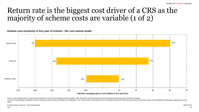### Return rate is the biggest cost driver of a CRS as the majority of scheme costs are variable (1 of 2)

**Scheme cost sensitivity in first year of scheme - 20c cost neutral model**

![](_page_9_Figure_3.jpeg)

Source: PwC analysis based on inputs and assumptions in the Excel spreadsheet model provided to MfE. Should the underpinning inputs and assumptions change the above results may change.

The return rate sensitivity is additive, and the volume and scheme costs sensitivities are multiplicative. The 'volume' refers to the total volume of containers sold, and the 'Scheme costs' refers to the total scheme costs capex.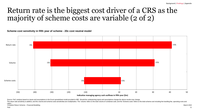### Return rate is the biggest cost driver of a CRS as the majority of scheme costs are variable (2 of 2)

**Scheme cost sensitivity in fifth year of scheme - 20c cost neutral model**

![](_page_10_Figure_3.jpeg)

Source: PwC analysis based on inputs and assumptions in the Excel spreadsheet model provided to MfE. Should the underpinning inputs and assumptions change the above results may change.

Container Return Scheme – Financial Modelling March 2022 Narch 2022 The return rate sensitivity is additive, and the volume and scheme costs sensitivities are multiplicative. The 'volume' refers to the total volume of containers sold, and the 'Scheme costs' refers to the total scheme costs capex.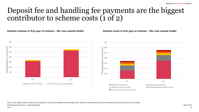### Deposit fee and handling fee payments are the biggest contributor to scheme costs (1 of 2)

#### **Scheme revenue in first year of scheme – 20c cost neutral model Scheme costs in first year of scheme – 20c cost neutral model**

![](_page_11_Figure_4.jpeg)

![](_page_11_Figure_5.jpeg)

Source: PwC analysis based on inputs and assumptions in the Excel spreadsheet model provided to MfE. Should the underpinning inputs and assumptions change the above results may change.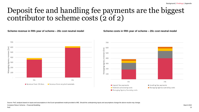### Deposit fee and handling fee payments are the biggest contributor to scheme costs (2 of 2)

**Scheme revenue in fifth year of scheme – 20c cost neutral model Scheme costs in fifth year of scheme – 20c cost neutral model**

![](_page_12_Figure_4.jpeg)

![](_page_12_Figure_5.jpeg)

Source: PwC analysis based on inputs and assumptions in the Excel spreadsheet model provided to MfE. Should the underpinning inputs and assumptions change the above results may change.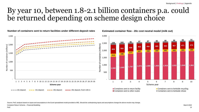### By year 10, between 1.8-2.1 billion containers p.a. could be returned depending on scheme design choice

**Number of containers sent to return facilities under different deposit rates**

**Estimated container flow - 20c cost neutral model (milk out)**

![](_page_13_Figure_4.jpeg)

Source: PwC analysis based on inputs and assumptions in the Excel spreadsheet model provided to MfE. Should the underpinning inputs and assumptions change the above results may change.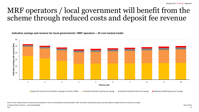### MRF operators / local government will benefit from the scheme through reduced costs and deposit fee revenue

**Indicative savings and revenue for local governments / MRF operators – 20 cost neutral model**

![](_page_14_Figure_3.jpeg)

Deposit fee revenue from kerbside recycling to councils / MRFs Indicative kerbside recycling cost savings Indicative kerbside refuse cost savings Indicative landfill disposal cost savings Indicative kerbside refuse cost sa

Source: PwC analysis based on inputs and assumptions in the Excel spreadsheet model provided to MfE. Should the underpinning inputs and assumptions change the above results may change.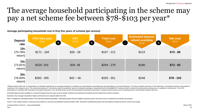## The average household participating in the scheme may pay a net scheme fee between \$78-\$103 per year\*

| <b>Deposit</b><br>rate             | <b>CRS fees paid</b><br>(S pa) | <b>GST</b><br>$($p_2)$<br>Ð | <b>Total cost</b><br>(S pa)<br>$\equiv$ | <b>Estimated deposit</b><br>refund available<br>(\$p]<br>$\overline{\phantom{a}}$ | <b>Net cost</b><br>(\$pa)<br>T |
|------------------------------------|--------------------------------|-----------------------------|-----------------------------------------|-----------------------------------------------------------------------------------|--------------------------------|
| 10c<br>$(70-78%$<br>return)        | $$171 - 184$                   | $$26 - 28$                  | $$197 - 212$                            | \$124                                                                             | $$73 - 88$                     |
| 15c<br>$(73 - 81\%)$<br>return)    | $$225-243$                     | $$34-36$                    | $$259 - 279$                            | \$186                                                                             | $$73 - 93$                     |
| <b>20c</b><br>$(76-84%$<br>return) | $$283 - 305$                   | $$42 - 46$                  | $$325 - 351$                            | \$248                                                                             | $$78 - 103$                    |

**Average participating household cost in first five years of scheme (per annum)**

\*Please note the 'Net cost' to households is an indicative estimate for an average household. In reality the net cost between households will vary depending on consumer behaviour. The above analysis assumes a 6.5% reductio response to the change in price. The model and analysis of "net scheme costs to households" does not include the savings to households from the modelled 6.5% reduction which includes the total product purchase price, in ad assumption is consistent with estimated consumption reduction in non-alcoholic drinks as per the Queensland Productivity Commission: container refund scheme, price monitoring review. Actual market response will vary.

Estimated deposit refund available is constant throughout the five years as the average containers purchased per household and the deposit fee remains constants.

Benefits to the average household of higher performance are captured within the CBA

Note: Averages are calculated based on the total New Zealand population. 'Estimated deposit refund available' assumes a given consumer returns containers all containers purchased.

Source: PwC analysis based on inputs and assumptions in the Excel spreadsheet model provided to MfE. Should the underpinning inputs and assumptions change the above results may change.

Container Return Scheme – Financial Modelling March 2022 Narch 2022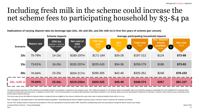## Including fresh milk in the scheme could increase the net scheme fees to participating household by \$3-\$4 pa

**Implications of varying deposit rates by beverage type (10c, 15c and 20c, and 20c milk in) in first five years of scheme (per annum)**

![](_page_16_Figure_3.jpeg)

The above analysis assumes a 6.5% reduction in household container consumption in response to the change in price. The model and analysis of "net scheme costs to households" does not include the savings to households from includes the total product purchase price, in addition to scheme fees. This 6.5% assumption is consistent with estimated consumption reduction in non-alcoholic drinks as per the Queensland Productivity Commission: containe Actual market response will vary.

The return rates across the different schemes relate to containers that are eligible for the scheme, therefore the same return rate is observed whether fresh milk is in or out.

Note: Averages are calculated based on the total New Zealand population. 'Estimated deposit refund available' assumes a given consumer returns containers all containers purchased.

Source: PwC analysis based on inputs and assumptions in the Excel spreadsheet model provided to MfE. Should the underpinning inputs and assumptions change the above results may change.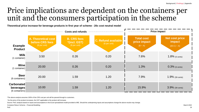### Price implications are dependent on the containers per unit and the consumers participation in the scheme

**Theoretical price increase for beverage products in first year of scheme - 20c cost neutral model** 

|                                                  |                                                                       | <b>Costs and refunds</b>                            |                                                             | <b>Price impact</b>                               |                                                     |  |  |
|--------------------------------------------------|-----------------------------------------------------------------------|-----------------------------------------------------|-------------------------------------------------------------|---------------------------------------------------|-----------------------------------------------------|--|--|
| <b>Example</b><br><b>Product</b>                 | <b>A. Theoretical cost</b><br><b>before CRS fees</b><br>(\$ per unit) | <b>B. CRS fees</b><br>*(incl. GST)<br>(\$ per unit) | <b>C. Refund available</b><br>$($ \$ per unit) <sup>'</sup> | <b>Total cost</b><br>price impact<br>$(B \div A)$ | <b>Net cost price</b><br>impact<br>$((B-C) \div A)$ |  |  |
| <b>Milk</b><br>(1 container)                     | 3.50                                                                  | 0.26                                                | 0.20                                                        | 7.6%                                              | $1.8\%$ (6 cents)                                   |  |  |
| Wine<br>$(1$ container)                          | 20.00                                                                 | 0.26                                                | 0.20                                                        | 1.3%                                              | $0.3\%$ (6 cents)                                   |  |  |
| <b>Beer</b><br>(6 containers)                    | 20.00                                                                 | 1.59                                                | 1.20                                                        | 7.9%                                              | $1.9\%$ (39 cents)                                  |  |  |
| <b>Carbonated</b><br>beverages<br>(6 containers) | 10.00                                                                 | 1.59                                                | 1.20                                                        | 15.9%                                             | $3.9\%$ (39 cents)                                  |  |  |

\*The above analysis assumes 100% of the CRS cost per unit will be passed through to customers.

\*As the price of the product increases, the GST applicable to the product will increase.

Source: PwC analysis based on inputs and assumptions in the Excel spreadsheet model provided to MfE. Should the underpinning inputs and assumptions change the above results may change.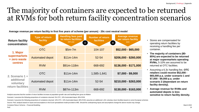### The majority of containers are expected to be returned at RVMs for both return facility concentration scenarios

|                                              | $\alpha$ , and the contract the contraction of the contract of the contraction $\beta$ and $\beta$ and $\beta$ and $\beta$ and $\beta$ and $\beta$ and $\beta$ |                                                                               |                                       |                                                            |  |  |  |  |  |  |  |
|----------------------------------------------|----------------------------------------------------------------------------------------------------------------------------------------------------------------|-------------------------------------------------------------------------------|---------------------------------------|------------------------------------------------------------|--|--|--|--|--|--|--|
| <b>Return facility</b><br>concentration:     | <b>Type of return</b><br>facility                                                                                                                              | <b>Handling fees paid</b><br>to return facilities<br>$(sm\overline{pa})$<br>÷ | <b>Number of return</b><br>facilities | <b>Average revenue</b><br>per return facility<br>(pa)<br>T |  |  |  |  |  |  |  |
| 1. Major                                     | <b>OTC</b>                                                                                                                                                     | $$5m-7m$                                                                      | 104-107                               | $$52,000 - $65,000$                                        |  |  |  |  |  |  |  |
| supermarkets<br>+ zero waste                 | <b>Automated depot</b>                                                                                                                                         | $$11m-14m$                                                                    | 52-54                                 | $$206,000 - $260,000$                                      |  |  |  |  |  |  |  |
| <b>centres</b>                               | <b>RVM</b>                                                                                                                                                     | \$91m-118m                                                                    | 668-692                               | \$136,000 - \$171,000                                      |  |  |  |  |  |  |  |
| 2. Scenario 1 +                              | <b>OTC</b>                                                                                                                                                     | $$11m-14m$                                                                    | 1,585-1,641                           | $$7,000 - $9,000$                                          |  |  |  |  |  |  |  |
| additional<br>voluntary<br>return facilities | Automated depot                                                                                                                                                | $$11m-14m$                                                                    | 52-54                                 | \$210,000 - \$263,000                                      |  |  |  |  |  |  |  |
|                                              | <b>RVM</b>                                                                                                                                                     | \$87m-113m                                                                    | 668-692                               | $$130,000 - $163,000$                                      |  |  |  |  |  |  |  |

**Average revenue per return facility in first five years of scheme (per annum) - 20c cost neutral model**

Analysis assumes that the number of return facilities increase at population growth rate and handling fees grow at inflation

Scenario 1 assumes the following proportions of containers returned: 5% OTC, 10% Automated depot, 85% RVM

Scenario 2 assumes the following proportions of containers returned: 10% OTC, 10% Automated depot, 80% RVM; assumes an additional 1,431 voluntary return facilities based on some European schemes

Source: PwC analysis based on inputs and assumptions in the Excel spreadsheet model provided to MfE. Should the underpinning inputs and assumptions change the above results may change.

- Stores are compensated for operating return facilities by receiving a handling fee per container.
- **The majority of containers (80- 85%) are expected to be returned at major supermarkets operating RVMs,** 5-10% are assumed to be returned at OTC facilities.
- Assuming a 6.3c handling fee, **OTC retailers could receive \$52,000 - \$65,000 p.a. under scenario 1 and \$7,000 - \$9,000 p.a. under scenario 2 (dependant on return facility density).**
- **Average revenue for RVMs and automated depots is less sensitive to return facility density.**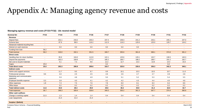#### **Managing agency revenue and costs (FY23-FY32) - 10c neutral model**

| <b>Nominal \$m</b>                      | <b>FY23</b>              | <b>FY24</b>    | <b>FY25</b>    | <b>FY26</b>    | <b>FY27</b>    | <b>FY28</b>    | <b>FY29</b>    | <b>FY30</b>    | <b>FY31</b>    | <b>FY32</b>              |
|-----------------------------------------|--------------------------|----------------|----------------|----------------|----------------|----------------|----------------|----------------|----------------|--------------------------|
| Revenue                                 |                          |                |                |                |                |                |                |                |                |                          |
| Deposit fees                            | $\overline{\phantom{a}}$ | 231.1          | 233.2          | 235.3          | 237.4          | 239.3          | 241.2          | 243.1          | 245.1          | 247.0                    |
| Scheme fees                             | $\blacksquare$           | 87.9           | 98.9           | 116.2          | 112.3          | 116.3          | 120.6          | 125.0          | 129.7          | 134.2                    |
| Advanced material recycling fees        | $\blacksquare$           | $\sim$         |                | $\sim$         | $\sim$         | $\sim$         | $\blacksquare$ | $\blacksquare$ | $\blacksquare$ |                          |
| Interest on cash reserves               | $\blacksquare$           | 0.0            | 0.0            | 0.0            | 0.0            | 0.0            | 0.0            | $\blacksquare$ |                |                          |
| Funding from loan                       | 58.2                     | $\sim$         | $\blacksquare$ | $\sim$         | $\sim$         | $\sim$         | $\blacksquare$ | $\blacksquare$ | $\blacksquare$ | $\overline{\phantom{a}}$ |
| <b>Total revenue</b>                    | 58.2                     | 319.0          | 332.1          | 351.5          | 349.7          | 355.6          | 361.8          | 368.1          | 374.8          | 381.2                    |
| <b>Direct costs</b>                     |                          |                |                |                |                |                |                |                |                |                          |
| Handling fees for return facilities     | $\blacksquare$           | 95.9           | 104.0          | 112.8          | 122.1          | 125.6          | 129.1          | 132.7          | 136.5          | 140.3                    |
| Deposit fee payments                    | $\sim$                   | 162.3          | 169.6          | 177.2          | 185.2          | 186.7          | 188.2          | 189.7          | 191.2          | 192.7                    |
| Net cost to recycle materials           | $\blacksquare$           | 5.1            | 7.3            | 9.6            | 12.2           | 12.7           | 13.3           | 13.8           | 14.4           | 15.0                     |
| Capex                                   | 25.0                     | $\sim$         | $\sim$         | $\sim$         | 0.2            | $\sim$         | $\blacksquare$ | $\sim$         | 0.2            | $\sim$                   |
| <b>Total direct costs</b>               | 25.0                     | 263.3          | 280.9          | 299.6          | 319.7          | 325.0          | 330.6          | 336.3          | 342.3          | 348.1                    |
| <b>Indirect costs</b>                   |                          |                |                |                |                |                |                |                |                |                          |
| Admin and support services              | $\blacksquare$           | 11.7           | 9.5            | 9.7            | 9.9            | 10.1           | 10.3           | 10.5           | 10.7           | 11.0                     |
| Professional services                   | 9.6                      | 4.0            | 2.5            | 2.5            | 2.6            | 2.6            | 2.7            | 2.7            | 2.8            | 2.8                      |
| Marketing and communication<br>expenses | $\blacksquare$           | 5.9            | 4.8            | 4.9            | 5.0            | 5.1            | 5.2            | 5.3            | 5.4            | 5.5                      |
| Employee benefits expense               | 0.3                      | 3.9            | 4.0            | 4.1            | 4.2            | 4.2            | 4.3            | 4.4            | 4.5            | 4.6                      |
| Other expenses                          | 1.8                      | 7.3            | 7.5            | 7.6            | 7.8            | 8.0            | 8.1            | 8.3            | 8.4            | 8.6                      |
| Office lease                            | $\blacksquare$           | 0.2            | 0.2            | 0.2            | 0.2            | 0.2            | 0.2            | 0.2            | 0.2            | 0.2                      |
| <b>Total indirect costs</b>             | 11.6                     | 33.0           | 28.4           | 29.0           | 29.6           | 30.2           | 30.8           | 31.4           | 32.0           | 32.7                     |
| <b>Total expenses</b>                   | 36.7                     | 296.3          | 309.4          | 328.6          | 349.3          | 355.2          | 361.3          | 367.7          | 374.4          | 380.8                    |
| Other cash outflows                     |                          |                |                |                |                |                |                |                |                |                          |
| Change in working capital               | 21.5                     | 1.3            | 1.4            | 1.4            | 0.4            | 0.4            | 0.4            | 0.4            | 0.4            | 0.4                      |
| Loan repayments                         | $\sim$                   | 21.4           | 21.4           | 21.4           | $\sim$         | $\sim$         | $\sim$         | $\sim$         | $\sim$         | $\sim$                   |
| <b>Surplus / (Deficit)</b>              | $\blacksquare$           | $\blacksquare$ | $\blacksquare$ | $\blacksquare$ | $\blacksquare$ | $\blacksquare$ | $\blacksquare$ |                |                |                          |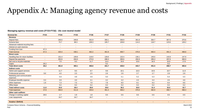#### **Managing agency revenue and costs (FY23-FY32) - 15c cost neutral model**

| <b>Nominal \$m</b>                      | <b>FY23</b>    | <b>FY24</b>    | <b>FY25</b>    | <b>FY26</b>    | <b>FY27</b>    | <b>FY28</b>    | <b>FY29</b>              | <b>FY30</b>    | <b>FY31</b>    | <b>FY32</b>              |
|-----------------------------------------|----------------|----------------|----------------|----------------|----------------|----------------|--------------------------|----------------|----------------|--------------------------|
| Revenue                                 |                |                |                |                |                |                |                          |                |                |                          |
| Deposit fees                            | $\sim$         | 346.6          | 349.8          | 352.9          | 356.1          | 358.9          | 361.8                    | 364.7          | 367.6          | 370.6                    |
| Scheme fees                             |                | 73.7           | 88.3           | 109.3          | 105.7          | 109.8          | 114.2                    | 118.7          | 123.6          | 128.2                    |
| Advanced material recycling fees        | $\sim$         | $\sim$         | $\sim$         | $\sim$         | $\sim$         | $\sim$         | $\sim$                   | $\blacksquare$ | $\sim$         | $\sim$                   |
| Interest on cash reserves               | $\sim$         | $\sim$         | $\blacksquare$ | $\blacksquare$ | $\blacksquare$ | $\blacksquare$ | $\blacksquare$           | $\blacksquare$ | $\blacksquare$ | $\overline{\phantom{a}}$ |
| Funding from loan                       | 67.3           |                | $\blacksquare$ | $\blacksquare$ | $\blacksquare$ | $\blacksquare$ | $\blacksquare$           | $\blacksquare$ | $\blacksquare$ |                          |
| <b>Total revenue</b>                    | 67.3           | 420.4          | 438.1          | 462.2          | 461.8          | 468.7          | 476.0                    | 483.4          | 491.3          | 498.8                    |
| <b>Direct costs</b>                     |                |                |                |                |                |                |                          |                |                |                          |
| Handling fees for return facilities     | $\sim$         | 101.4          | 109.9          | 119.0          | 128.8          | 132.4          | 136.1                    | 140.0          | 143.9          | 147.9                    |
| Deposit fee payments                    | $\blacksquare$ | 252.6          | 264.0          | 275.9          | 288.3          | 290.6          | 292.9                    | 295.3          | 297.6          | 300.0                    |
| Net cost to recycle materials           | $\sim$         | 7.0            | 9.3            | 11.7           | 14.4           | 15.0           | 15.6                     | 16.3           | 16.9           | 17.6                     |
| Capex                                   | 26.2           | $\sim$         | $\blacksquare$ | $\blacksquare$ | 0.2            | $\blacksquare$ | $\overline{\phantom{a}}$ | $\blacksquare$ | 0.2            |                          |
| <b>Total direct costs</b>               | 26.2           | 361.0          | 383.1          | 406.6          | 431.7          | 438.0          | 444.7                    | 451.5          | 458.7          | 465.6                    |
| Indirect costs                          |                |                |                |                |                |                |                          |                |                |                          |
| Admin and support services              | $\sim$         | 11.7           | 9.5            | 9.7            | 9.9            | 10.1           | 10.3                     | 10.5           | 10.7           | 11.0                     |
| <b>Professional services</b>            | 9.6            | 4.0            | 2.5            | 2.5            | 2.6            | 2.6            | 2.7                      | 2.7            | 2.8            | 2.8                      |
| Marketing and communication<br>expenses |                | 5.9            | 4.8            | 4.9            | 5.0            | 5.1            | 5.2                      | 5.3            | 5.4            | 5.5                      |
| Employee benefits expense               | 0.3            | 3.9            | 4.0            | 4.1            | 4.2            | 4.2            | 4.3                      | 4.4            | 4.5            | 4.6                      |
| Other expenses                          | 1.8            | 7.3            | 7.5            | 7.6            | 7.8            | 8.0            | 8.1                      | 8.3            | 8.4            | 8.6                      |
| Office lease                            | $\sim$         | 0.2            | 0.2            | 0.2            | 0.2            | 0.2            | 0.2                      | 0.2            | 0.2            | 0.2                      |
| <b>Total indirect costs</b>             | 11.6           | 33.0           | 28.4           | 29.0           | 29.6           | 30.2           | 30.8                     | 31.4           | 32.0           | 32.7                     |
| <b>Total expenses</b>                   | 37.8           | 394.0          | 411.6          | 435.6          | 461.3          | 468.2          | 475.5                    | 482.9          | 490.7          | 498.3                    |
| Other cash outflows                     |                |                |                |                |                |                |                          |                |                |                          |
| Change in working capital               | 29.5           | 1.7            | 1.8            | 1.8            | 0.5            | 0.5            | 0.5                      | $0.5\,$        | 0.5            | 0.5                      |
| Loan repayments                         | $\sim$         | 24.7           | 24.7           | 24.7           | $\sim$         | $\sim$         | $\blacksquare$           | $\sim$         | $\sim$         | $\sim$                   |
|                                         |                |                |                |                |                |                |                          |                |                |                          |
| <b>Surplus / (Deficit)</b>              | $\blacksquare$ | $\blacksquare$ | $\blacksquare$ | $\blacksquare$ | ٠              | $\blacksquare$ | $\blacksquare$           | $\blacksquare$ | $\blacksquare$ | $\blacksquare$           |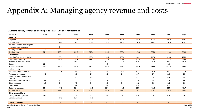#### **Managing agency revenue and costs (FY23-FY32) - 20c cost neutral model**

| <b>Nominal \$m</b>                      | <b>FY23</b>    | <b>FY24</b>    | <b>FY25</b>    | <b>FY26</b>    | <b>FY27</b>              | <b>FY28</b>    | <b>FY29</b>    | <b>FY30</b>    | <b>FY31</b>    | <b>FY32</b>    |
|-----------------------------------------|----------------|----------------|----------------|----------------|--------------------------|----------------|----------------|----------------|----------------|----------------|
| Revenue                                 |                |                |                |                |                          |                |                |                |                |                |
| Deposit fees                            | $\blacksquare$ | 462.2          | 466.4          | 470.6          | 474.8                    | 478.6          | 482.4          | 486.3          | 490.2          | 494.1          |
| Scheme fees                             |                | 65.9           | 84.3           | 109.3          | 106.1                    | 110.3          | 114.9          | 119.7          | 124.8          | 129.5          |
| Advanced material recycling fees        | $\blacksquare$ | $\sim$         | $\sim$         | $\sim$         | $\blacksquare$           | $\sim$         | $\blacksquare$ | $\blacksquare$ | $\blacksquare$ | $\blacksquare$ |
| Interest on cash reserves               | $\sim$         | 0.0            | $\blacksquare$ | $\blacksquare$ | $\overline{\phantom{a}}$ | $\blacksquare$ | $\sim$         | $\sim$         | $\blacksquare$ | $\blacksquare$ |
| Funding from loan                       | 77.0           | $\sim$         | $\blacksquare$ | $\sim$         | $\blacksquare$           | $\sim$         | $\blacksquare$ | $\sim$         | $\sim$         | $\blacksquare$ |
| <b>Total revenue</b>                    | 77.0           | 528.1          | 550.6          | 579.9          | 580.8                    | 588.9          | 597.3          | 605.9          | 614.9          | 623.6          |
| <b>Direct costs</b>                     |                |                |                |                |                          |                |                |                |                |                |
| Handling fees for return facilities     | $\blacksquare$ | 106.9          | 115.7          | 125.2          | 135.4                    | 139.2          | 143.1          | 147.2          | 151.3          | 155.6          |
| Deposit fee payments                    | $\sim$         | 349.0          | 364.8          | 381.2          | 398.4                    | 401.6          | 404.8          | 408.0          | 411.3          | 414.6          |
| Net cost to recycle materials           | $\blacksquare$ | 8.8            | 11.2           | 13.8           | 16.7                     | 17.3           | 18.0           | 18.7           | 19.4           | 20.2           |
| Capex                                   | 27.4           | $\sim$         | $\sim$         | $\sim$         | 0.2                      | $\sim$         | $\sim$         | $\sim$         | 0.2            | $\sim$         |
| <b>Total direct costs</b>               | 27.4           | 464.8          | 491.7          | 520.3          | 550.7                    | 558.1          | 565.9          | 573.9          | 582.3          | 590.4          |
| Indirect costs                          |                |                |                |                |                          |                |                |                |                |                |
| Admin and support services              | $\blacksquare$ | 11.7           | 9.5            | 9.7            | 9.9                      | 10.1           | 10.3           | 10.5           | 10.7           | 11.0           |
| Professional services                   | 9.6            | 4.0            | 2.5            | 2.5            | 2.6                      | 2.6            | 2.7            | 2.7            | 2.8            | 2.8            |
| Marketing and communication<br>expenses | $\blacksquare$ | 5.9            | 4.8            | 4.9            | 5.0                      | 5.1            | 5.2            | 5.3            | 5.4            | 5.5            |
| Employee benefits expense               | 0.3            | 3.9            | 4.0            | 4.1            | 4.2                      | 4.2            | 4.3            | 4.4            | 4.5            | 4.6            |
| Other expenses                          | 1.8            | 7.3            | 7.5            | 7.6            | 7.8                      | 8.0            | 8.1            | 8.3            | 8.4            | 8.6            |
| Office lease                            | $\blacksquare$ | 0.2            | 0.2            | 0.2            | 0.2                      | 0.2            | 0.2            | 0.2            | 0.2            | 0.2            |
| <b>Total indirect costs</b>             | 11.6           | 33.0           | 28.4           | 29.0           | 29.6                     | 30.2           | 30.8           | 31.4           | 32.0           | 32.7           |
| <b>Total expenses</b>                   | 39.0           | 497.8          | 520.2          | 549.3          | 580.3                    | 588.3          | 596.7          | 605.3          | 614.3          | 623.0          |
| Other cash outflows                     |                |                |                |                |                          |                |                |                |                |                |
| Change in working capital               | 38.0           | 2.0            | 2.2            | 2.3            | 0.6                      | 0.6            | 0.6            | 0.6            | 0.6            | 0.6            |
| Loan repayments                         | $\sim$         | 28.3           | 28.3           | 28.3           | $\sim$                   | $\sim$         | $\sim$         | $\sim$         | $\sim$         | $\sim$         |
| <b>Surplus / (Deficit)</b>              | $\blacksquare$ | $\blacksquare$ | $\blacksquare$ | $\blacksquare$ | $\blacksquare$           | $\blacksquare$ | $\blacksquare$ | $\blacksquare$ | $\blacksquare$ | $\blacksquare$ |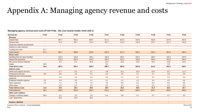| Nominal \$m                             | <b>FY23</b>    | <b>FY24</b>              | <b>FY25</b>    | <b>FY26</b>              | <b>FY27</b>    | <b>FY28</b>              | <b>FY29</b>              | <b>FY30</b>    | <b>FY31</b>    | <b>FY32</b>    |
|-----------------------------------------|----------------|--------------------------|----------------|--------------------------|----------------|--------------------------|--------------------------|----------------|----------------|----------------|
| Revenue                                 |                |                          |                |                          |                |                          |                          |                |                |                |
| Deposit fees                            | $\blacksquare$ | 497.7                    | 502.2          | 506.7                    | 511.2          | 515.3                    | 519.5                    | 523.6          | 527.8          | 532.0          |
| Scheme fees                             | $\sim$         | 67.0                     | 86.7           | 113.2                    | 107.7          | 112.0                    | 116.8                    | 121.7          | 127.1          | 131.9          |
| Advanced material recycling fees        | $\sim$         | $\overline{\phantom{a}}$ | $\blacksquare$ | $\blacksquare$           | $\blacksquare$ | $\overline{\phantom{a}}$ | $\sim$                   | $\blacksquare$ | $\sim$         |                |
| Interest on cash reserves               | $\blacksquare$ | $\blacksquare$           | $\sim$         |                          |                | $\overline{\phantom{a}}$ | $\sim$                   |                |                |                |
| Funding from loan                       | 87.1           | $\blacksquare$           | $\blacksquare$ | $\overline{\phantom{a}}$ | $\blacksquare$ | $\blacksquare$           | $\sim$                   |                | $\sim$         |                |
| <b>Total revenue</b>                    | 87.1           | 564.7                    | 588.9          | 619.9                    | 618.9          | 627.4                    | 636.2                    | 645.3          | 654.9          | 664.0          |
| <b>Direct costs</b>                     |                |                          |                |                          |                |                          |                          |                |                |                |
| Handling fees for return facilities     | $\blacksquare$ | 115.4                    | 124.9          | 135.1                    | 146.0          | 150.1                    | 154.4                    | 158.7          | 163.2          | 167.8          |
| Deposit fee payments                    | $\sim$         | 375.8                    | 392.8          | 410.5                    | 429.0          | 432.4                    | 435.9                    | 439.4          | 442.9          | 446.4          |
| Net cost to recycle materials           | $\blacksquare$ | 6.2                      | 8.4            | 10.8                     | 13.4           | 14.0                     | 14.6                     | 15.2           | 15.8           | 16.5           |
| Capex                                   | 34.6           | $\sim$                   | $\sim$         |                          | 0.3            | $\sim$                   | $\sim$                   |                | 0.3            | $\sim$         |
| <b>Total direct costs</b>               | 34.6           | 497.5                    | 526.1          | 556.4                    | 588.7          | 596.5                    | 604.8                    | 613.2          | 622.2          | 630.7          |
| <b>Indirect costs</b>                   |                |                          |                |                          |                |                          |                          |                |                |                |
| Admin and support services              | $\sim$         | 11.7                     | 9.5            | 9.7                      | 9.9            | 10.1                     | 10.3                     | 10.5           | 10.7           | 11.0           |
| Professional services                   | 9.6            | 4.0                      | 2.5            | 2.5                      | 2.6            | 2.6                      | 2.7                      | 2.7            | 2.8            | 2.8            |
| Marketing and communication<br>expenses | $\sim$         | 5.9                      | 4.8            | 4.9                      | 5.0            | 5.1                      | 5.2                      | 5.3            | 5.4            | 5.5            |
| Employee benefits expense               | 0.3            | 3.9                      | 4.0            | 4.1                      | 4.2            | 4.2                      | 4.3                      | 4.4            | 4.5            | 4.6            |
| Other expenses                          | 1.8            | 7.3                      | 7.5            | 7.6                      | 7.8            | 8.0                      | 8.1                      | 8.3            | 8.4            | 8.6            |
| Office lease                            | ٠              | 0.2                      | 0.2            | 0.2                      | 0.2            | 0.2                      | 0.2                      | 0.2            | 0.2            | 0.2            |
| <b>Total indirect costs</b>             | 11.6           | 33.0                     | 28.4           | 29.0                     | 29.6           | 30.2                     | 30.8                     | 31.4           | 32.0           | 32.7           |
| <b>Total expenses</b>                   | 46.2           | 530.5                    | 554.6          | 585.4                    | 618.3          | 626.7                    | 635.6                    | 644.7          | 654.2          | 663.3          |
| Other cash outflows                     |                |                          |                |                          |                |                          |                          |                |                |                |
| Change in working capital               | 40.9           | 2.2                      | 2.3            | 2.5                      | 0.6            | 0.6                      | 0.7                      | 0.7            | 0.7            | 0.6            |
| Loan repayments                         | $\blacksquare$ | 32.0                     | 32.0           | 32.0                     | $\blacksquare$ | $\overline{\phantom{a}}$ | $\overline{\phantom{a}}$ |                |                |                |
| <b>Surplus / (Deficit)</b>              | $\blacksquare$ | $\blacksquare$           | $\blacksquare$ | $\blacksquare$           |                | $\blacksquare$           | $\blacksquare$           |                | $\blacksquare$ | $\blacksquare$ |

#### **Managing agency revenue and costs (FY23-FY32) - 20c cost neutral model, fresh milk in**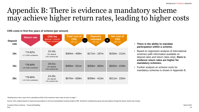### Appendix B: There is evidence a mandatory scheme may achieve higher return rates, leading to higher costs

| Deposit<br>rate | <b>Return rate</b>                        | <b>CRS</b> fee<br>(deposit + scheme<br>fee per container). | <b>Total cost of</b><br><b>CRS</b><br>$$m\,pa$$ | <b>Deposits</b><br>refunded<br>$\sqrt{\sin pa}$ | <b>Net cost of</b><br><b>CRS</b><br>T<br>(s <sub>m</sub> pa) |
|-----------------|-------------------------------------------|------------------------------------------------------------|-------------------------------------------------|-------------------------------------------------|--------------------------------------------------------------|
| 10c             | $*74 - 82%$<br>$~1.7 - 2.0$ bn containers | $15-16c$<br>10c deposit;<br>5-6c scheme fee                | $$364m - 409m$                                  | $$171m - 197m$                                  | $$193m - 212m$                                               |
| 15c             | *76-84%<br>$~1.8 - 2.0$ bn containers     | $19-21c$<br>15c deposit;<br>4-6c scheme fee                | $$465m - 521m$                                  | \$263m - 302m                                   | $$202m - 219m$                                               |
| 20c             | *78-86%<br>$~1.8 - 2.1$ bn containers     | 24-25c<br>20c deposit;<br>4-5c scheme fee                  | $$570m - 639m$                                  | $$359m - 413m$                                  | $$211m - 226m$                                               |

#### **CRS costs in first five years of scheme (per annum)**

#### • **There is the ability to mandate participation within a scheme.**

- Based on regression analysis of international schemes (with information available on deposit rates and return rates only), **there is evidence return rates are higher for mandatory schemes.**
- Further analysis on scheme costs for mandatory schemes is shown in Appendix B.

\*Starting return rate in year one is calculated as 90% of the maximum return rates as seen on page 7.

Source: PwC analysis based on inputs and assumptions in the Excel spreadsheet model provided to MfE. Should the underpinning inputs and assumptions change the above results may change.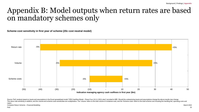**Scheme cost sensitivity in first year of scheme (20c cost neutral model)**

![](_page_24_Figure_3.jpeg)

Source: PwC analysis based on inputs and assumptions in the Excel spreadsheet model "CRS Cashflow Model - Phase Four (10.11.2021).xlsm" provided to MfE. Should the underpinning inputs and assumptions change the above resul The return rate sensitivity is additive, and the volume and scheme costs sensitivities are multiplicative. The 'volume' refers to the total volume of containers sold, and the 'Scheme costs' refers to the total scheme costs capex.

Container Return Scheme – Financial Modelling March 2022 Narch 2022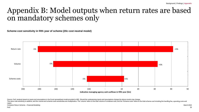**Scheme cost sensitivity in fifth year of scheme (20c cost neutral model)**

![](_page_25_Figure_3.jpeg)

Source: PwC analysis based on inputs and assumptions in the Excel spreadsheet model provided to MfE. Should the underpinning inputs and assumptions change the above results may change.

The return rate sensitivity is additive, and the volume and scheme costs sensitivities are multiplicative. The 'volume' refers to the total volume of containers sold, and the 'Scheme costs' refers to the total scheme costs capex.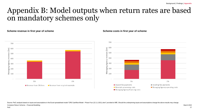#### **Scheme revenue in first year of scheme Scheme costs in first year of scheme Scheme** costs in first year of scheme

![](_page_26_Figure_3.jpeg)

Source: PwC analysis based on inputs and assumptions in the Excel spreadsheet model "CRS Cashflow Model - Phase Four (22.11.2021).xlsm" provided to MfE. Should the underpinning inputs and assumptions change the above resul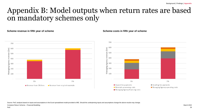#### **Scheme revenue in fifth year of scheme Scheme costs in fifth year of scheme Scheme** costs in fifth year of scheme

![](_page_27_Figure_3.jpeg)

![](_page_27_Figure_5.jpeg)

Source: PwC analysis based on inputs and assumptions in the Excel spreadsheet model provided to MfE. Should the underpinning inputs and assumptions change the above results may change.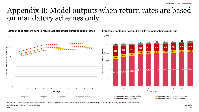**Number of containers sent to return facilities under different deposit rates**

![](_page_28_Figure_3.jpeg)

**Estimated container flow under a 20c deposit scheme (milk out)**

Container Return Scheme – Financial Modelling March 2022 Narch 2022 Source: PwC analysis based on inputs and assumptions in the Excel spreadsheet model provided to MfE. Should the underpinning inputs and assumptions change the above results may change.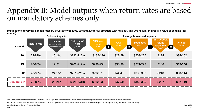**Implications of varying deposit rates by beverage type (10c, 15c and 20c for all products with milk out, and 20c milk in) in first five years of scheme (per annum)**

|                 |                    | <b>Scheme impacts</b>                                     |                                        |                                          |                                 | Average household impacts    |                                                             |                            |
|-----------------|--------------------|-----------------------------------------------------------|----------------------------------------|------------------------------------------|---------------------------------|------------------------------|-------------------------------------------------------------|----------------------------|
| <b>Scenario</b> | <b>Return rate</b> | <b>CRS</b> fee<br>(deposit + scheme<br>fee per container) | Net cost of<br><b>CRS</b><br>$$m\,pa$$ | <b>CRS fees</b><br>paid<br>(\$pa)<br>$+$ | <b>GST</b><br>(\$p]<br>$\equiv$ | Total cost<br>$($p_2)$<br>J. | <b>Est. deposit</b><br>refund<br>available<br>Ξ<br>$($p_2)$ | <b>Net cost</b><br>$($p$ a |
| 10c             | 74-82%             | $15-16c$                                                  | \$193-212m                             | \$182-196                                | $$27-29$                        | \$209-226                    | \$124                                                       | \$85-102                   |
| 15c             | 76-84%             | $19-21c$                                                  | \$202-219m                             | \$236-254                                | $$35-38$                        | \$271-292                    | \$186                                                       | \$85-106                   |
| 20c             | 78-86%             | 24-25c                                                    | \$211-226m                             | \$292-315                                | $$44-47$                        | \$336-362                    | \$248                                                       | \$88-114                   |
| 20c, milk in    | 78-86%             | $23-25c$                                                  | $$228-241m$                            | \$312-335                                | \$47-50                         | \$359-385                    | \$267                                                       | $$92-119$                  |

Note: Averages are calculated based on the total New Zealand population. 'Estimated deposit refund available' assumes a given consumer returns containers all containers purchased.

Source: PwC analysis based on inputs and assumptions in the Excel spreadsheet model provided to MfE. Should the underpinning inputs and assumptions change the above results may change.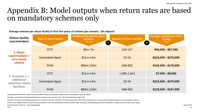#### **Average revenue per return facility in first five years of scheme (per annum) - 20c deposit**

| <b>Return facility</b><br>concentration:                                 | <b>Type of return facility</b> | <b>Handling fees paid to return</b><br><b>facilities</b><br>$$m\,pa$$<br>$\mathbf \Theta$ | <b>Number of return facilities</b> | <b>Average revenue per return</b><br>facility<br>(\$p]<br>I |  |
|--------------------------------------------------------------------------|--------------------------------|-------------------------------------------------------------------------------------------|------------------------------------|-------------------------------------------------------------|--|
| 1. Major<br>supermarkets +<br>zero waste<br><b>centres</b>               | <b>OTC</b>                     | $$6m-7m$                                                                                  | 104-107                            | $$54,000 - $67,000$                                         |  |
|                                                                          | <b>Automated depot</b>         | $$11m-14m$                                                                                | 52-54                              | $$215,000 - $270,000$                                       |  |
|                                                                          | <b>RVM</b>                     | \$95m-123m                                                                                | 668-692                            | $$142,000 - $178,000$                                       |  |
| 2. Scenario $1 +$<br>additional<br>voluntary return<br><b>facilities</b> | <b>OTC</b>                     | $$11m-14m$                                                                                | 1,585-1,641                        | $$7,000 - $9,000$                                           |  |
|                                                                          | Automated depot                | $$11m-14m$                                                                                | 52-54                              | $$215,000 - $270,000$                                       |  |
|                                                                          | <b>RVM</b>                     | \$89m-116m                                                                                | 668-692                            | $$133,000 - $167,000$                                       |  |

Analysis assumes that the number of return facilities increase at population growth rate and handling fees grow at inflation

Scenario 1 assumes the following proportions of containers returned: 5% OTC, 10% Automated depot, 85% RVM

Scenario 2 assumes the following proportions of containers returned: 10% OTC, 10% Automated depot, 80% RVM, assumes 1,431 voluntary return facilities based on some European schemes

Source: PwC analysis based on inputs and assumptions in the Excel spreadsheet model provided to MfE. Should the underpinning inputs and assumptions change the above results may change.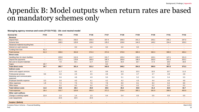#### **Managing agency revenue and costs (FY23-FY32) - 10c cost neutral model**

| <b>Nominal \$m</b>                      | <b>FY23</b>              | <b>FY24</b>    | <b>FY25</b>    | <b>FY26</b> | <b>FY27</b>    | <b>FY28</b>              | <b>FY29</b>    | <b>FY30</b>    | <b>FY31</b>    | <b>FY32</b> |
|-----------------------------------------|--------------------------|----------------|----------------|-------------|----------------|--------------------------|----------------|----------------|----------------|-------------|
| Revenue                                 |                          |                |                |             |                |                          |                |                |                |             |
| Deposit fees                            | $\overline{\phantom{a}}$ | 231.1          | 233.2          | 235.3       | 237.4          | 239.3                    | 241.2          | 243.1          | 245.1          | 247.0       |
| Scheme fees                             |                          | 108.5          | 120.6          | 139.0       | 135.2          | 139.6                    | 144.3          | 149.2          | 154.4          | 159.3       |
| Advanced material recycling fees        | $\blacksquare$           | $\blacksquare$ |                | $\sim$      | $\sim$         | $\overline{\phantom{a}}$ | $\blacksquare$ | $\sim$         | $\sim$         |             |
| Interest on cash reserves               | $\sim$                   | $\sim$         | 0.0            | 0.0         | 0.0            | 0.0                      | 0.0            | $\overline{a}$ | $\blacksquare$ |             |
| Funding from loan                       | 61.3                     | $\sim$         |                | $\sim$      | $\sim$         | $\sim$                   | $\sim$         | $\blacksquare$ | $\sim$         |             |
| <b>Total revenue</b>                    | 61.3                     | 339.6          | 353.8          | 374.3       | 372.6          | 378.9                    | 385.5          | 392.3          | 399.5          | 406.4       |
| <b>Direct costs</b>                     |                          |                |                |             |                |                          |                |                |                |             |
| Handling fees for return facilities     | $\blacksquare$           | 103.8          | 112.4          | 121.7       | 131.7          | 135.4                    | 139.2          | 143.1          | 147.1          | 151.3       |
| Deposit fee payments                    | $\blacksquare$           | 171.1          | 178.8          | 186.9       | 195.3          | 196.8                    | 198.4          | 200.0          | 201.6          | 203.2       |
| Net cost to recycle materials           | $\blacksquare$           | 7.8            | 10.1           | 12.7        | 15.4           | 16.0                     | 16.7           | 17.3           | 18.0           | 18.8        |
| Capex                                   | 26.7                     | $\sim$         |                | $\sim$      | 0.2            | $\sim$                   |                | $\sim$         | 0.2            | $\sim$      |
| <b>Total direct costs</b>               | 26.7                     | 282.7          | 301.4          | 321.2       | 342.6          | 348.2                    | 354.3          | 360.5          | 367.0          | 373.3       |
| Indirect costs                          |                          |                |                |             |                |                          |                |                |                |             |
| Admin and support services              | $\blacksquare$           | 11.7           | 9.5            | 9.7         | 9.9            | 10.1                     | 10.3           | 10.5           | 10.7           | 11.0        |
| Professional services                   | 9.6                      | 4.0            | 2.5            | 2.5         | 2.6            | 2.6                      | 2.7            | 2.7            | 2.8            | 2.8         |
| Marketing and communication<br>expenses |                          | 5.9            | 4.8            | 4.9         | 5.0            | 5.1                      | 5.2            | 5.3            | 5.4            | 5.5         |
| Employee benefits expense               | 0.3                      | 3.9            | 4.0            | 4.1         | 4.2            | 4.2                      | 4.3            | 4.4            | 4.5            | 4.6         |
| Other expenses                          | 1.8                      | 7.3            | 7.5            | 7.6         | 7.8            | 8.0                      | 8.1            | 8.3            | 8.4            | 8.6         |
| Office lease                            | $\sim$                   | 0.2            | 0.2            | 0.2         | 0.2            | 0.2                      | 0.2            | 0.2            | 0.2            | 0.2         |
| <b>Total indirect costs</b>             | 11.6                     | 33.0           | 28.4           | 29.0        | 29.6           | 30.2                     | 30.8           | 31.4           | 32.0           | 32.7        |
| <b>Total expenses</b>                   | 38.4                     | 315.7          | 329.8          | 350.3       | 372.2          | 378.4                    | 385.1          | 391.9          | 399.0          | 405.9       |
| Other cash outflows                     |                          |                |                |             |                |                          |                |                |                |             |
| Change in working capital               | 22.9                     | 1.4            | 1.4            | 1.5         | 0.4            | 0.4                      | 0.5            | 0.5            | 0.5            | 0.5         |
| Loan repayments                         | $\sim$                   | 22.5           | 22.5           | 22.5        | $\sim$         | $\sim$                   | $\sim$         | $\sim$         | $\sim$         | $\sim$      |
|                                         |                          |                |                |             |                |                          |                |                |                |             |
| <b>Surplus / (Deficit)</b>              | $\blacksquare$           | $\blacksquare$ | $\blacksquare$ | $\sim$      | $\blacksquare$ | $\blacksquare$           |                |                | $\blacksquare$ |             |

Container Return Scheme – Financial Modelling March 2022 Narch 2022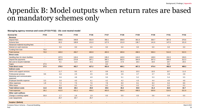#### **Managing agency revenue and costs (FY23-FY32) - 15c cost neutral model**

| <b>Nominal \$m</b>                      | <b>FY23</b>              | <b>FY24</b>    | <b>FY25</b>    | <b>FY26</b>    | <b>FY27</b>    | <b>FY28</b>    | <b>FY29</b> | <b>FY30</b>    | <b>FY31</b>    | <b>FY32</b> |
|-----------------------------------------|--------------------------|----------------|----------------|----------------|----------------|----------------|-------------|----------------|----------------|-------------|
| Revenue                                 |                          |                |                |                |                |                |             |                |                |             |
| Deposit fees                            | $\blacksquare$           | 346.6          | 349.8          | 352.9          | 356.1          | 358.9          | 361.8       | 364.7          | 367.6          | 370.6       |
| Scheme fees                             | $\blacksquare$           | 93.3           | 108.9          | 131.0          | 127.5          | 131.9          | 136.7       | 141.6          | 147.0          | 151.9       |
| Advanced material recycling fees        | $\sim$                   | $\sim$         |                | $\sim$         | $\sim$         | $\sim$         | $\sim$      | $\sim$         | $\sim$         |             |
| Interest on cash reserves               | $\overline{\phantom{a}}$ | 0.0            | 0.0            | 0.0            | 0.0            | 0.0            | 0.0         | 0.0            | 0.0            | 0.0         |
| Funding from loan                       | 70.0                     | $\sim$         |                | $\sim$         | $\sim$         | $\sim$         | $\sim$      | $\sim$         | $\sim$         |             |
| <b>Total revenue</b>                    | 70.0                     | 440.0          | 458.7          | 483.9          | 483.5          | 490.8          | 498.5       | 506.3          | 514.6          | 522.5       |
| <b>Direct costs</b>                     |                          |                |                |                |                |                |             |                |                |             |
| Handling fees for return facilities     | $\sim$                   | 107.5          | 116.4          | 126.0          | 136.2          | 140.0          | 144.0       | 148.0          | 152.2          | 156.5       |
| Deposit fee payments                    | $\blacksquare$           | 262.9          | 274.8          | 287.1          | 300.1          | 302.5          | 304.9       | 307.3          | 309.8          | 312.3       |
| Net cost to recycle materials           | $\sim$                   | 9.1            | 11.5           | 14.1           | 16.9           | 17.6           | 18.3        | 19.0           | 19.7           | 20.5        |
| Capex                                   | 27.5                     | $\sim$         |                | $\sim$         | 0.2            | $\sim$         |             | $\sim$         | 0.2            | $\sim$      |
| <b>Total direct costs</b>               | 27.5                     | 379.5          | 402.7          | 427.2          | 453.4          | 460.1          | 467.2       | 474.4          | 482.0          | 489.3       |
| Indirect costs                          |                          |                |                |                |                |                |             |                |                |             |
| Admin and support services              | $\sim$                   | 11.7           | 9.5            | 9.7            | 9.9            | 10.1           | 10.3        | 10.5           | 10.7           | 11.0        |
| Professional services                   | 9.6                      | 4.0            | 2.5            | 2.5            | 2.6            | 2.6            | 2.7         | 2.7            | 2.8            | 2.8         |
| Marketing and communication<br>expenses |                          | 5.9            | 4.8            | 4.9            | 5.0            | 5.1            | 5.2         | 5.3            | 5.4            | 5.5         |
| Employee benefits expense               | 0.3                      | 3.9            | $4.0\,$        | 4.1            | 4.2            | 4.2            | 4.3         | 4.4            | 4.5            | 4.6         |
| Other expenses                          | 1.8                      | 7.3            | 7.5            | 7.6            | 7.8            | 8.0            | 8.1         | 8.3            | 8.4            | 8.6         |
| Office lease                            | $\sim$                   | 0.2            | 0.2            | 0.2            | 0.2            | 0.2            | 0.2         | 0.2            | 0.2            | 0.2         |
| <b>Total indirect costs</b>             | 11.6                     | 33.0           | 28.4           | 29.0           | 29.6           | 30.2           | 30.8        | 31.4           | 32.0           | 32.7        |
| <b>Total expenses</b>                   | 39.2                     | 412.5          | 431.1          | 456.2          | 483.0          | 490.3          | 498.0       | 505.8          | 514.0          | 521.9       |
| Other cash outflows                     |                          |                |                |                |                |                |             |                |                |             |
| Change in working capital               | 30.9                     | 1.7            | 1.8            | 1.9            | 0.5            | 0.5            | 0.5         | 0.6            | 0.6            | 0.5         |
| Loan repayments                         | $\sim$                   | 25.7           | 25.7           | 25.7           | $\sim$         | $\sim$         | $\sim$      | $\sim$         | $\sim$         | $\sim$      |
| <b>Surplus / (Deficit)</b>              | $\blacksquare$           | $\blacksquare$ | $\blacksquare$ | $\blacksquare$ | $\blacksquare$ | $\blacksquare$ | $\sim$      | $\blacksquare$ | $\blacksquare$ |             |

Container Return Scheme – Financial Modelling March 2022 Narch 2022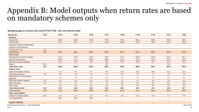#### **Managing agency revenue and costs (FY23-FY32) - 20c cost neutral model**

| <b>Nominal \$m</b>                      | <b>FY23</b>              | <b>FY24</b>    | <b>FY25</b>    | <b>FY26</b>    | <b>FY27</b>    | <b>FY28</b>    | <b>FY29</b>              | <b>FY30</b>              | <b>FY31</b>              | <b>FY32</b>    |
|-----------------------------------------|--------------------------|----------------|----------------|----------------|----------------|----------------|--------------------------|--------------------------|--------------------------|----------------|
| Revenue                                 |                          |                |                |                |                |                |                          |                          |                          |                |
| Deposit fees                            | $\blacksquare$           | 462.2          | 466.4          | 470.6          | 474.8          | 478.6          | 482.4                    | 486.3                    | 490.2                    | 494.1          |
| Scheme fees                             | $\sim$                   | 82.5           | 101.7          | 127.6          | 124.5          | 129.0          | 133.9                    | 139.0                    | 144.4                    | 149.5          |
| Advanced material recycling fees        | $\sim$                   | $\sim$         | $\sim$         | $\sim$         | $\sim$         | $\sim$         | $\sim$                   | $\sim$                   | $\sim$                   | $\sim$         |
| Interest on cash reserves               | $\blacksquare$           | $\blacksquare$ |                |                | $\blacksquare$ | $\blacksquare$ | $\blacksquare$           | $\overline{\phantom{a}}$ | $\blacksquare$           |                |
| Funding from loan                       | 79.2                     | $\blacksquare$ |                |                | $\blacksquare$ | $\sim$         | $\overline{\phantom{a}}$ | $\overline{\phantom{a}}$ | $\overline{\phantom{a}}$ |                |
| <b>Total revenue</b>                    | 79.2                     | 544.7          | 568.1          | 598.2          | 599.3          | 607.6          | 616.3                    | 625.2                    | 634.6                    | 643.6          |
| <b>Direct costs</b>                     |                          |                |                |                |                |                |                          |                          |                          |                |
| Handling fees for return facilities     | $\sim$                   | 111.3          | 120.4          | 130.2          | 140.7          | 144.7          | 148.8                    | 153.0                    | 157.3                    | 161.7          |
| Deposit fee payments                    | $\sim$                   | 358.9          | 375.1          | 392.0          | 409.6          | 412.9          | 416.2                    | 419.6                    | 422.9                    | 426.3          |
| Net cost to recycle materials           | $\sim$                   | 10.3           | 12.8           | 15.5           | 18.5           | 19.2           | 19.9                     | 20.7                     | 21.5                     | 22.3           |
| Capex                                   | 28.4                     | $\sim$         |                |                | 0.2            | $\sim$         | $\sim$                   | $\sim$                   | 0.2                      |                |
| <b>Total direct costs</b>               | 28.4                     | 480.5          | 508.3          | 537.8          | 569.1          | 576.8          | 584.9                    | 593.2                    | 601.9                    | 610.3          |
| Indirect costs                          |                          |                |                |                |                |                |                          |                          |                          |                |
| Admin and support services              | $\sim$                   | 11.7           | 9.5            | 9.7            | 9.9            | 10.1           | 10.3                     | 10.5                     | 10.7                     | 11.0           |
| Professional services                   | 9.6                      | 4.0            | 2.5            | 2.5            | 2.6            | 2.6            | 2.7                      | 2.7                      | 2.8                      | 2.8            |
| Marketing and communication<br>expenses | $\blacksquare$           | 5.9            | 4.8            | 4.9            | 5.0            | 5.1            | 5.2                      | 5.3                      | 5.4                      | $5.5\,$        |
| Employee benefits expense               | 0.3                      | 3.9            | 4.0            | 4.1            | 4.2            | 4.2            | 4.3                      | 4.4                      | 4.5                      | 4.6            |
| Other expenses                          | 1.8                      | 7.3            | 7.5            | 7.6            | 7.8            | 8.0            | 8.1                      | 8.3                      | 8.4                      | 8.6            |
| Office lease                            | $\sim$                   | 0.2            | 0.2            | 0.2            | 0.2            | 0.2            | 0.2                      | 0.2                      | 0.2                      | 0.2            |
| <b>Total indirect costs</b>             | 11.6                     | 33.0           | 28.4           | 29.0           | 29.6           | 30.2           | 30.8                     | 31.4                     | 32.0                     | 32.7           |
| <b>Total expenses</b>                   | 40.0                     | 513.5          | 536.8          | 566.8          | 598.7          | 607.0          | 615.7                    | 624.6                    | 633.9                    | 642.9          |
| Other cash outflows                     |                          |                |                |                |                |                |                          |                          |                          |                |
| Change in working capital               | 39.2                     | 2.1            | 2.2            | 2.3            | 0.6            | $0.6\,$        | 0.6                      | 0.6                      | 0.7                      | 0.6            |
| Loan repayments                         | $\sim$                   | 29.1           | 29.1           | 29.1           | $\sim$         | $\sim$         | $\sim$                   | $\sim$                   | $\sim$                   | $\sim$         |
| <b>Surplus / (Deficit)</b>              | $\overline{\phantom{a}}$ | $\blacksquare$ | $\blacksquare$ | $\blacksquare$ |                |                |                          | $\blacksquare$           |                          | $\blacksquare$ |

Container Return Scheme – Financial Modelling March 2022 Narch 2022